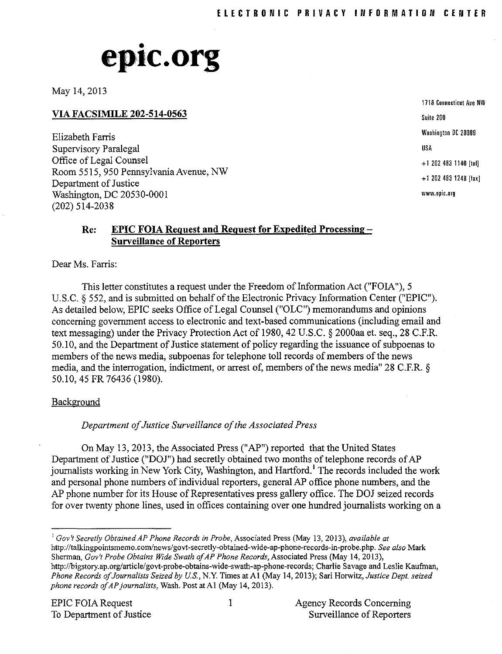# • **eplc.org**

May 14, 2013

**VIA FACSIMILE 202-514-0563**

Elizabeth Farris Supervisory Paralegal Office of Legal Counsel Room 5515, 950 Pennsylvania Avenue, NW Department of Justice Washington, DC 20530-0001 (202) 514-2038

**1718 Connecticut Ave NW** Suite 200 Washington DC 20009 USA +1 101 483 1140 [tel] +1 202 483 1248 [fax] **www.epic.org**

## **Re: EPIC FOIA Request and Request for Expedited Processing-Surveillance of Reporters**

Dear Ms. Farris:

This letter constitutes a request under the Freedom of Information Act ("FOIA"), 5 U.S.C.  $\S$  552, and is submitted on behalf of the Electronic Privacy Information Center ("EPIC"). As detailed below, EPIC seeks Office of Legal Counsel ("OLC") memorandums and opinions concerning government access to electronic and text-based communications (including email and text messaging) under the Privacy Protection Act of 1980,42 U.S.C. § 2000aa et. seq., 28 C.ER. 50.10, and the Department of Justice statement of policy regarding the issuance of subpoenas to members of the news media, subpoenas for telephone toll records of members of the news media, and the interrogation, indictment, or arrest of, members of the news media" 28 C.F.R. § 50.10,45 FR 76436 (1980).

#### **Background**

*Department ofJustice Surveillance ofthe Associated Press*

On May 13,2013, the Associated Press ("AP") reported that the United States Department of Justice ("DOJ") had secretly obtained two months of telephone records of AP journalists working in New York City, Washington, and Hartford.<sup>1</sup> The records included the work and personal phone numbers of individual reporters, general AP office phone numbers, and the AP phone number for its House of Representatives press gallery office. The DOJ seized records for over twenty phone lines, used in offices containing over one hundred journalists working on a

<sup>I</sup> *Gov't Secretly Obtained AP Phone Records in Probe,* Associated Press (May 13, 2013), *available at* http://talkingpointsmemo.com/news/govt-secretly-obtained-wide-ap-phone-records-in-probe.php. *See also* Mark Sherman, *Gov't Probe Obtains Wide Swath ofAP Phone Records,* Associated Press (May 14,2013), http://bigstory.ap.org/article/govt-probe-obtains-wide-swath-ap-phone-records; Charlie Savage and Leslie Kaufman, *Phone Records ofJournalists Seized by U.S.,* N.Y. Times at Al (May 14,2013); Sari Horwitz, *Justice Dept. seized phone records ofAPjournalists,* Wash. Post atAI (May 14, 2013).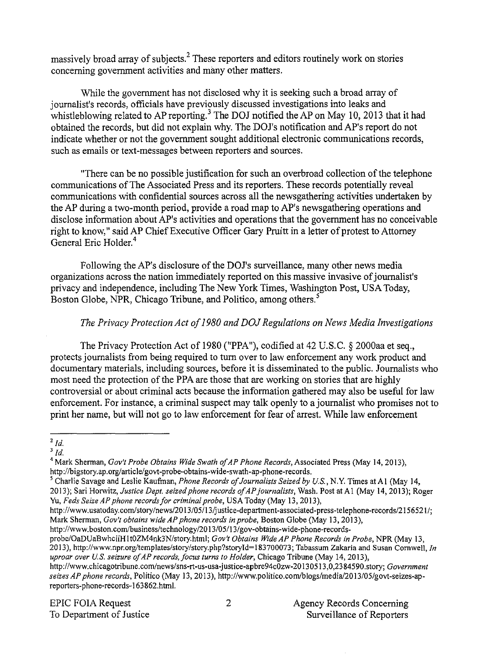massively broad array of subjects. $<sup>2</sup>$  These reporters and editors routinely work on stories</sup> concerning government activities and many other matters.

While the government has not disclosed why it is seeking such a broad array of journalist's records, officials have previously discussed investigations into leaks and whistleblowing related to AP reporting.<sup>3</sup> The DOJ notified the AP on May 10, 2013 that it had obtained the records, but did not explain why. The DOl's notification and AP's report do not indicate whether or not the government sought additional electronic communications records, such as emails or text-messages between reporters and sources.

"There can be no possible justification for such an overbroad collection ofthe telephone communications ofThe Associated Press and its reporters. These records potentially reveal communications with confidential sources across all the newsgathering activities undertaken by the AP during a two-month period, provide a road map to AP's newsgathering operations and disclose information about AP's activities and operations that the government has no conceivable right to know," said AP Chief Executive Officer Gary Pruitt in a letter of protest to Attorney General Eric Holder.<sup>4</sup>

Following the AP's disclosure of the DOJ's surveillance, many other news media organizations across the nation immediately reported on this massive invasive of journalist's privacy and independence, including The New York Times, Washington Post, USA Today, Boston Globe, NPR, Chicago Tribune, and Politico, among others.<sup>5</sup>

# *The Privacy Protection Act of1980 and DOJRegulations on News Media Investigations*

The Privacy Protection Act of 1980 ("PPA"), codified at 42 U.S.C. § 2000aa et seq., protects journalists from being required to turn over to law enforcement any work product and documentary materials, including sources, before it is disseminated to the public. Journalists who most need the protection of the PPA are those that are working on stories that are highly controversial or about criminal acts because the information gathered may also be useful for law enforcement. For instance, a criminal suspect may talk openly to a journalist who promises not to print her name, but will not go to law enforcement for fear of arrest. While law enforcement

*<sup>2</sup>Id.*

*<sup>3</sup>Id.*

<sup>&</sup>lt;sup>4</sup> Mark Sherman, *Gov't Probe Obtains Wide Swath of AP Phone Records*, Associated Press (May 14, 2013), http://bigstory.ap.org/article/govt-probe-obtains-wide-swath-ap-phone-records.

<sup>5</sup> Charlie Savage and Leslie Kaufman, *Phone Records ofJournalists Seized by Us.,* N.Y. Times atAI (May 14, 2013); Sari Horwitz, *Justice Dept. seized phone records ofAPjournalists,* Wash. Post at Al (May 14,2013); Roger Yu, *Feds Seize AP phone recordsfor criminal probe,* USA Today (May 13,2013),

http://www.usatoday.com/story/news/2013/05/13/justice-department-associated-press-telephone-records/2156521/; Mark Sherman, *Gov't obtains wide AP phone records in probe,* Boston Globe (May 13,2013),

http://www.boston.com/business/technology/2013/05/13/gov-obtains-wide-phone-records-

probe/OaDUaBwhciiHItOZM4nk3N/story.html; *Gov't Obtains Wide AP Phone Records in Probe,* NPR (May 13, 2013), http://www.npr.org/templates/story/story.php?storyId=183700073; Tabassum Zakaria and Susan Cornwell, In *uproar over US. seizure ofAP records, focus turns to Holder,* Chicago Tribune (May 14,2013),

http://www.chicagotribune.com/news/sns-rt-us-usa-justice-apbre94cOzw-20I305 I3,0,2384590.story; *Government seizes AP phone records,* Politico (May 13, 2013), http://www.politico.comiblogs/media/2013/05/govt-seizes-apreporters-phone-records-163862.html.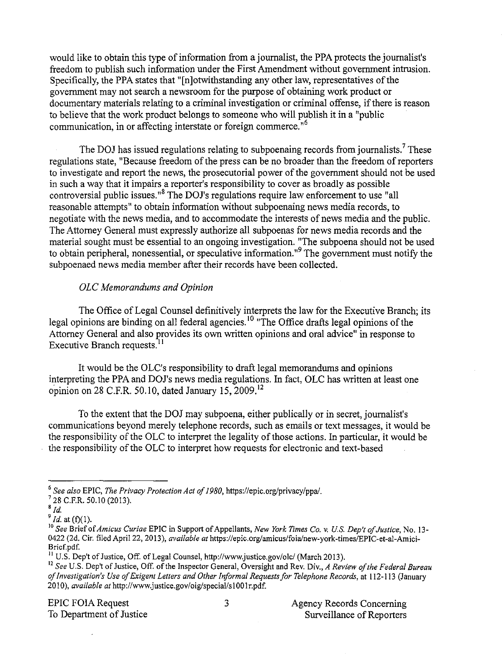would like to obtain this type of information from a journalist, the PPA protects the journalist's freedom to publish such information under the First Amendment without govermnent intrusion. Specifically, the PPA states that "Inlotwithstanding any other law, representatives of the govermnent may not search a newsroom for the purpose of obtaining work product or documentary materials relating to a criminal investigation or criminal offense, if there is reason to believe that the work product belongs to someone who will publish it in a "public communication, in or affecting interstate or foreign commerce.<sup>16</sup>

The DOJ has issued regulations relating to subpoenaing records from journalists.<sup>7</sup> These regulations state. "Because freedom of the press can be no broader than the freedom of reporters to investigate and report the news, the prosecutorial power of the government should not be used in such a way that it impairs a reporter's responsibility to cover as broadly as possible controversial public issues."<sup>8</sup> The DOJ's regulations require law enforcement to use "all reasonable attempts" to obtain information without subpoenaing news media records, to negotiate with the news media, and to accormnodate the interests of news media and the public. The Attorney General must expressly authorize all subpoenas for news media records and the material sought must be essential to an ongoing investigation. "The subpoena should not be used to obtain peripheral, nonessential, or speculative information."<sup>9</sup> The government must notify the subpoenaed news media member after their records have been collected.

### *OLe Memorandums and Opinion*

The Office of Legal Counsel definitively interprets the law for the Executive Branch; its legal opinions are binding on all federal agencies.<sup>10</sup> "The Office drafts legal opinions of the Attorney General and also provides its own written opinions and oral advice" in response to Executive Branch requests.<sup>11</sup>

It would be the OLC's responsibility to draft legal memorandums and opinions interpreting the PPA and DOJ's news media regulations. In fact, OLC has written at least one opinion on 28 C.F.R. 50.10, dated January 15,  $2009$ .<sup>12</sup>

To the extent that the DOJ may subpoena, either publically or in secret, journalist's communications beyond merely telephone records, such as emails or text messages, it would be the responsibility of the OLC to interpret the legality of those actions. In particular, it would be the responsibility of the OLC to interpret how requests for electronic and text-based

<sup>6</sup> *See also* EPIC, *The Privacy Protection Act of1980,* https://epic.org/privacy/ppal.

 $728$  C.F.R. 50.10 (2013).

 $\overline{\phantom{a}}^{8}$  *Id.* 

 $\int_{0}^{9}$  *Id.* at (f)(1).

Jo *See* Brief of*Amicus Curiae* EPIC in Support ofAppellants, *New York Times Co.* v. *Us. Dep't ofJustice,* No. 13- 0422 (2d. Cir. filed April 22, 2013), *available at* https://epic.org/amicus/foia/new-york-times/EPIC-et-al-Amici-Brief.pdf.

 $11$  U.S. Dep't of Justice, Off. of Legal Counsel, http://www.justice.gov/olc/ (March 2013).

<sup>&</sup>lt;sup>12</sup> See U.S. Dep't of Justice, Off. of the Inspector General, Oversight and Rev. Div., *A Review of the Federal Bureau ofInvestigation's Use ofExigent Letters and Other 1riformal Requestsfor Telephone Records,* at 112-113 (January 20 I0), *available at* http://www.justice.gov/oig/special/s100Ir.pdf.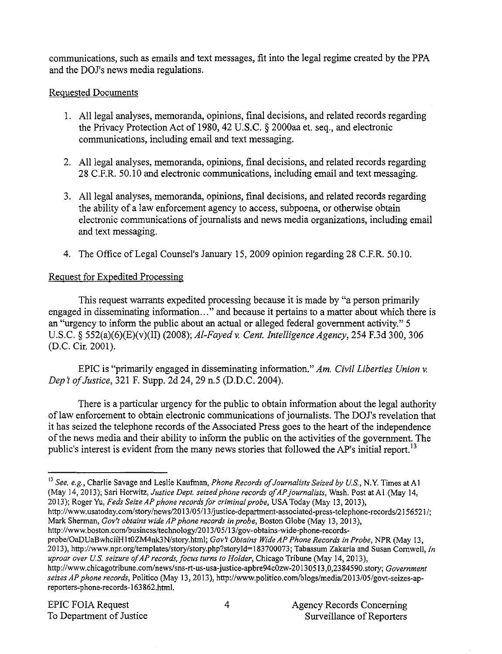communications, such as emails and text messages, fit into the legal regime created by the PPA and the DOJ's news media regulations.

## Requested Documents

- 1. All legal analyses, memoranda, opinions, final decisions, and related records regarding the Privacy Protection Act of 1980, 42 U.S.C. § 2000aa et. seq., and electronic communications, including email and text messaging.
- 2. All legal analyses, memoranda, opinions, final decisions, and related records regarding 28 C.F.R. 50.10 and electronic communications, including email and text messaging.
- 3. All legal analyses, memoranda, opinions, final decisions, and related records regarding the ability of a law enforcement agency to access, subpoena, or otherwise obtain electronic communications of journalists and news media organizations, including email and text messaging.
- 4. The Office of Legal Counsel's January 15,2009 opinion regarding 28 C.ER. 50.10.

# Request for Expedited Processing

This request warrants expedited processing because it is made by "a person primarily engaged in disseminating information... " and because it pertains to a matter about which there is an "urgency to inform the public about an actual or alleged federal government activity." 5 U.S.C. § 552(a)(6)(E)(v)(II) (2008); *Al-Fayed* v. *Cent. Intelligence Agency,* 254 F.3d 300, 306 (D.C. Cir. 2001).

EPIC is "primarily engaged in disseminating information." *Am. Civil Liberties Union* v. *Dept ofJustice,* 321 E Supp. 2d 24, 29 n.5 (D.D.C. 2004).

There is a particular urgency for the public to obtain information about the legal authority of law enforcement to obtain electronic communications of journalists. The DOJ's revelation that it has seized the telephone records of the Associated Press goes to the heart of the independence of the news media and their ability to inform the public on the activities of the government. The public's interest is evident from the many news stories that followed the AP's initial report.<sup>13</sup>

http://www.usatoday.com/story/news/2013/05/13/justice-department-associated-press-telephone-records/2156521/; Mark Sherman, *Gov't obtains wide AP phone records in probe,* Boston Globe (May 13,2013),

http://www.boston.comlbusiness/technology/2013/05/13/gov-obtains-wide-phone-recordsprobe/OaDUaBwhciiHltOZM4nk3N/story.htm1; *Gov't Obtains WideAP Phone Records in Probe,* NPR (May 13, 2013), http://www.npr.org/templates/story/story.php?storyId=183700073; Tabassum Zakaria and Susan Cornwell, In *uproar over u.s. seizure ofAP records,focus turns to Holder,* Chicago Tribune (May 14, 2013),

<sup>13</sup> *See. e.g.,* Charlie Savage and Leslie Kaufman, *Phone Records ofJournalists Seized by u.s.,* N.Y. Times at A I (May 14,2013); Sari Horwitz, *Justice Dept. seized phone records ofAPjournalists,* Wash. Post at Al (May 14, 2013); Roger Yu, *Feds SeizeAP phone recordsfor criminal probe,* USA Today (May 13,2013),

*http://www.chicagotribune.com!news/sns-rt*-us-usa-justice-apbre94cOzw-20130513,0,2384590.story; *Government seizes AP phone records,* Politico (May 13, 2013), *http://www.politico.comlblogs/medial2013/05/govt-seizes-ap*reporters-phone-records-163862.html.